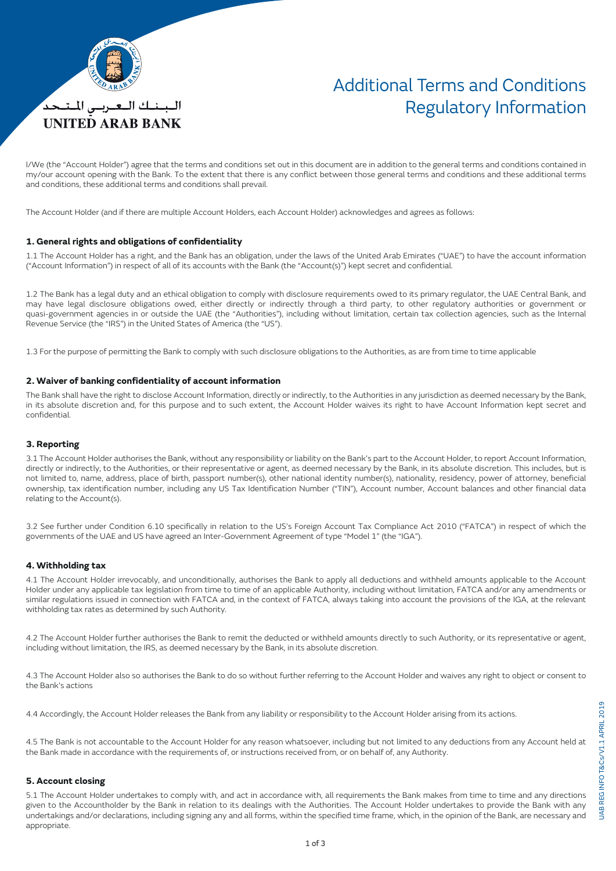

## Additional Terms and Conditions Regulatory Information

I/We (the "Account Holder") agree that the terms and conditions set out in this document are in addition to the general terms and conditions contained in my/our account opening with the Bank. To the extent that there is any conflict between those general terms and conditions and these additional terms and conditions, these additional terms and conditions shall prevail.

The Account Holder (and if there are multiple Account Holders, each Account Holder) acknowledges and agrees as follows:

### **1. General rights and obligations of confidentiality**

1.1 The Account Holder has a right, and the Bank has an obligation, under the laws of the United Arab Emirates ("UAE") to have the account information ("Account Information") in respect of all of its accounts with the Bank (the "Account(s)") kept secret and confidential.

1.2 The Bank has a legal duty and an ethical obligation to comply with disclosure requirements owed to its primary regulator, the UAE Central Bank, and may have legal disclosure obligations owed, either directly or indirectly through a third party, to other regulatory authorities or government or quasi-government agencies in or outside the UAE (the "Authorities"), including without limitation, certain tax collection agencies, such as the Internal Revenue Service (the "IRS") in the United States of America (the "US").

1.3 For the purpose of permitting the Bank to comply with such disclosure obligations to the Authorities, as are from time to time applicable

### **2. Waiver of banking confidentiality of account information**

The Bank shall have the right to disclose Account Information, directly or indirectly, to the Authorities in any jurisdiction as deemed necessary by the Bank, in its absolute discretion and, for this purpose and to such extent, the Account Holder waives its right to have Account Information kept secret and confidential.

### **3. Reporting**

3.1 The Account Holder authorises the Bank, without any responsibility or liability on the Bank's part to the Account Holder, to report Account Information, directly or indirectly, to the Authorities, or their representative or agent, as deemed necessary by the Bank, in its absolute discretion. This includes, but is not limited to, name, address, place of birth, passport number(s), other national identity number(s), nationality, residency, power of attorney, beneficial ownership, tax identification number, including any US Tax Identification Number ("TIN"), Account number, Account balances and other financial data relating to the Account(s).

3.2 See further under Condition 6.10 specifically in relation to the US's Foreign Account Tax Compliance Act 2010 ("FATCA") in respect of which the governments of the UAE and US have agreed an Inter-Government Agreement of type "Model 1" (the "IGA").

#### **4. Withholding tax**

4.1 The Account Holder irrevocably, and unconditionally, authorises the Bank to apply all deductions and withheld amounts applicable to the Account Holder under any applicable tax legislation from time to time of an applicable Authority, including without limitation, FATCA and/or any amendments or similar regulations issued in connection with FATCA and, in the context of FATCA, always taking into account the provisions of the IGA, at the relevant withholding tax rates as determined by such Authority.

4.2 The Account Holder further authorises the Bank to remit the deducted or withheld amounts directly to such Authority, or its representative or agent, including without limitation, the IRS, as deemed necessary by the Bank, in its absolute discretion.

4.3 The Account Holder also so authorises the Bank to do so without further referring to the Account Holder and waives any right to object or consent to the Bank's actions

4.4 Accordingly, the Account Holder releases the Bank from any liability or responsibility to the Account Holder arising from its actions.

4.5 The Bank is not accountable to the Account Holder for any reason whatsoever, including but not limited to any deductions from any Account held at the Bank made in accordance with the requirements of, or instructions received from, or on behalf of, any Authority.

#### **5. Account closing**

5.1 The Account Holder undertakes to comply with, and act in accordance with, all requirements the Bank makes from time to time and any directions given to the Accountholder by the Bank in relation to its dealings with the Authorities. The Account Holder undertakes to provide the Bank with any undertakings and/or declarations, including signing any and all forms, within the specified time frame, which, in the opinion of the Bank, are necessary and appropriate.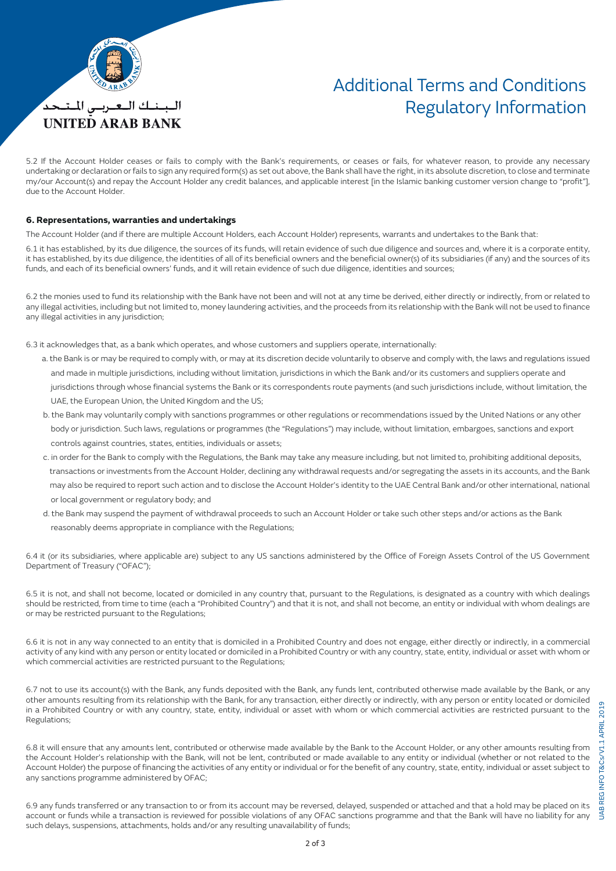

# Additional Terms and Conditions Regulatory Information

5.2 If the Account Holder ceases or fails to comply with the Bank's requirements, or ceases or fails, for whatever reason, to provide any necessary undertaking or declaration or fails to sign any required form(s) as set out above, the Bank shall have the right, in its absolute discretion, to close and terminate my/our Account(s) and repay the Account Holder any credit balances, and applicable interest [in the Islamic banking customer version change to "profit"], due to the Account Holder.

#### **6. Representations, warranties and undertakings**

The Account Holder (and if there are multiple Account Holders, each Account Holder) represents, warrants and undertakes to the Bank that:

6.1 it has established, by its due diligence, the sources of its funds, will retain evidence of such due diligence and sources and, where it is a corporate entity, it has established, by its due diligence, the identities of all of its beneficial owners and the beneficial owner(s) of its subsidiaries (if any) and the sources of its funds, and each of its beneficial owners' funds, and it will retain evidence of such due diligence, identities and sources;

6.2 the monies used to fund its relationship with the Bank have not been and will not at any time be derived, either directly or indirectly, from or related to any illegal activities, including but not limited to, money laundering activities, and the proceeds from its relationship with the Bank will not be used to finance any illegal activities in any jurisdiction;

6.3 it acknowledges that, as a bank which operates, and whose customers and suppliers operate, internationally:

- a. the Bank is or may be required to comply with, or may at its discretion decide voluntarily to observe and comply with, the laws and regulations issued and made in multiple jurisdictions, including without limitation, jurisdictions in which the Bank and/or its customers and suppliers operate and
- jurisdictions through whose financial systems the Bank or its correspondents route payments (and such jurisdictions include, without limitation, the UAE, the European Union, the United Kingdom and the US;
- b. the Bank may voluntarily comply with sanctions programmes or other regulations or recommendations issued by the United Nations or any other body or jurisdiction. Such laws, regulations or programmes (the "Regulations") may include, without limitation, embargoes, sanctions and export controls against countries, states, entities, individuals or assets;
- c. in order for the Bank to comply with the Regulations, the Bank may take any measure including, but not limited to, prohibiting additional deposits, transactions or investments from the Account Holder, declining any withdrawal requests and/or segregating the assets in its accounts, and the Bank may also be required to report such action and to disclose the Account Holder's identity to the UAE Central Bank and/or other international, national or local government or regulatory body; and
- d. the Bank may suspend the payment of withdrawal proceeds to such an Account Holder or take such other steps and/or actions as the Bank reasonably deems appropriate in compliance with the Regulations;

6.4 it (or its subsidiaries, where applicable are) subject to any US sanctions administered by the Office of Foreign Assets Control of the US Government Department of Treasury ("OFAC");

6.5 it is not, and shall not become, located or domiciled in any country that, pursuant to the Regulations, is designated as a country with which dealings should be restricted, from time to time (each a "Prohibited Country") and that it is not, and shall not become, an entity or individual with whom dealings are or may be restricted pursuant to the Regulations;

6.6 it is not in any way connected to an entity that is domiciled in a Prohibited Country and does not engage, either directly or indirectly, in a commercial activity of any kind with any person or entity located or domiciled in a Prohibited Country or with any country, state, entity, individual or asset with whom or which commercial activities are restricted pursuant to the Regulations;

6.7 not to use its account(s) with the Bank, any funds deposited with the Bank, any funds lent, contributed otherwise made available by the Bank, or any other amounts resulting from its relationship with the Bank, for any transaction, either directly or indirectly, with any person or entity located or domiciled in a Prohibited Country or with any country, state, entity, individual or asset with whom or which commercial activities are restricted pursuant to the Regulations;

6.8 it will ensure that any amounts lent, contributed or otherwise made available by the Bank to the Account Holder, or any other amounts resulting from the Account Holder's relationship with the Bank, will not be lent, contributed or made available to any entity or individual (whether or not related to the Account Holder) the purpose of financing the activities of any entity or individual or for the benefit of any country, state, entity, individual or asset subject to any sanctions programme administered by OFAC;

2019 UAB REG INFO T&Cs/V1.1 APRIL 2019JAB REG INFO T&Cs/V1.1 APRIL

6.9 any funds transferred or any transaction to or from its account may be reversed, delayed, suspended or attached and that a hold may be placed on its account or funds while a transaction is reviewed for possible violations of any OFAC sanctions programme and that the Bank will have no liability for any such delays, suspensions, attachments, holds and/or any resulting unavailability of funds;